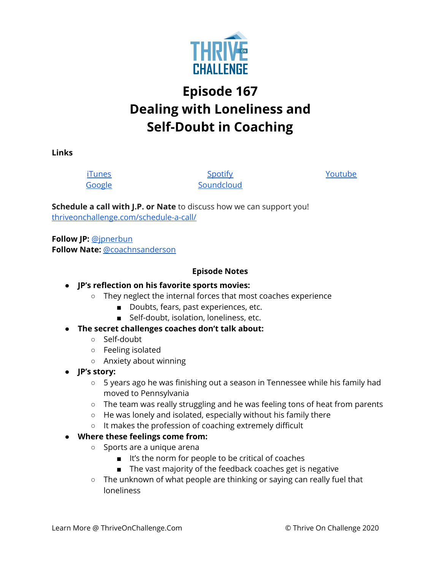

# **Episode 167 Dealing with Loneliness and Self-Doubt in Coaching**

**Links**

[iTunes](https://podcasts.apple.com/us/podcast/coaching-culture/id1286560192) [Google](https://podcasts.google.com/feed/aHR0cHM6Ly9mZWVkcy5zb3VuZGNsb3VkLmNvbS91c2Vycy9zb3VuZGNsb3VkOnVzZXJzOjQxMDQyNzcvc291bmRzLnJzcw?ved=2ahUKEwiSpYquy9vqAhVbQUEAHSAkC88Q4aUDegQIARAC)

**[Spotify](https://open.spotify.com/show/336Hs8udk8s0yXuK3BzSOq) [Soundcloud](https://soundcloud.com/thriveonchallenge)**  [Youtube](https://www.youtube.com/channel/UC3vIljCBzwHcPyVIx9kiHvw)

**Schedule a call with J.P. or Nate** to discuss how we can support you! [thriveonchallenge.com/schedule-a-call/](http://thriveonchallenge.com/schedule-a-call/)

**Follow JP:** [@jpnerbun](http://twitter.com/jpnerbun) **Follow Nate:** [@coachnsanderson](http://twitter.com/coachnsanderson)

#### **Episode Notes**

## **● JP's reflection on his favorite sports movies:**

- They neglect the internal forces that most coaches experience
	- Doubts, fears, past experiences, etc.
	- Self-doubt, isolation, loneliness, etc.
- **● The secret challenges coaches don't talk about:**
	- Self-doubt
	- Feeling isolated
	- Anxiety about winning
- **● JP's story:**
	- 5 years ago he was finishing out a season in Tennessee while his family had moved to Pennsylvania
	- $\circ$  The team was really struggling and he was feeling tons of heat from parents
	- He was lonely and isolated, especially without his family there
	- It makes the profession of coaching extremely difficult

## **● Where these feelings come from:**

- Sports are a unique arena
	- It's the norm for people to be critical of coaches
	- The vast majority of the feedback coaches get is negative
- $\circ$  The unknown of what people are thinking or saying can really fuel that loneliness